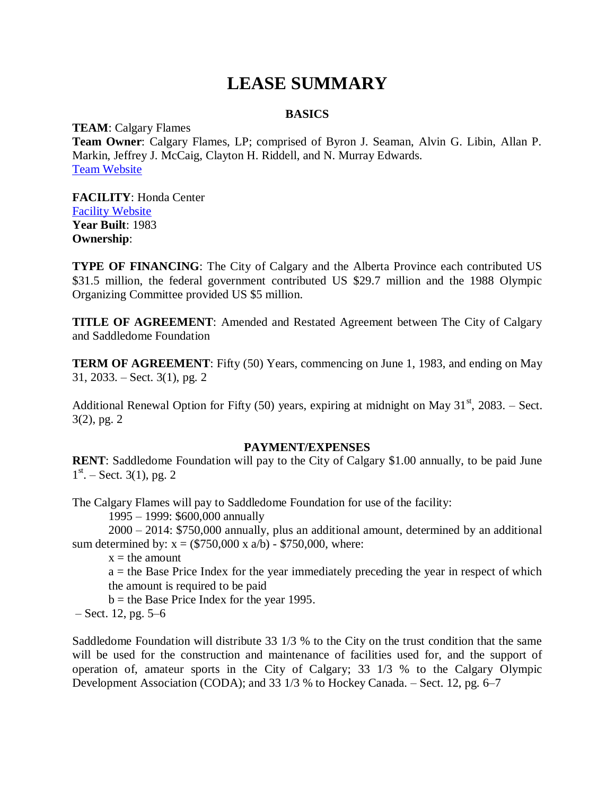# **LEASE SUMMARY**

# **BASICS**

**TEAM**: Calgary Flames **Team Owner**: Calgary Flames, LP; comprised of Byron J. Seaman, Alvin G. Libin, Allan P. Markin, Jeffrey J. McCaig, Clayton H. Riddell, and N. Murray Edwards. [Team Website](http://flames.nhl.com/)

**FACILITY**: Honda Center [Facility Website](http://www.scotiabanksaddledome.com/site/saddledome/) **Year Built**: 1983 **Ownership**:

**TYPE OF FINANCING:** The City of Calgary and the Alberta Province each contributed US \$31.5 million, the federal government contributed US \$29.7 million and the 1988 Olympic Organizing Committee provided US \$5 million.

**TITLE OF AGREEMENT**: Amended and Restated Agreement between The City of Calgary and Saddledome Foundation

**TERM OF AGREEMENT**: Fifty (50) Years, commencing on June 1, 1983, and ending on May 31, 2033. – Sect. 3(1), pg. 2

Additional Renewal Option for Fifty (50) years, expiring at midnight on May  $31<sup>st</sup>$ , 2083. – Sect. 3(2), pg. 2

## **PAYMENT/EXPENSES**

**RENT**: Saddledome Foundation will pay to the City of Calgary \$1.00 annually, to be paid June  $1<sup>st</sup> - Sect. 3(1), pg. 2$ 

The Calgary Flames will pay to Saddledome Foundation for use of the facility:

1995 – 1999: \$600,000 annually

2000 – 2014: \$750,000 annually, plus an additional amount, determined by an additional sum determined by:  $x = (\$750,000 \ x \ a/b) - \$750,000$ , where:

 $x =$  the amount

a = the Base Price Index for the year immediately preceding the year in respect of which the amount is required to be paid

 $b =$  the Base Price Index for the year 1995.

– Sect. 12, pg. 5–6

Saddledome Foundation will distribute 33 1/3 % to the City on the trust condition that the same will be used for the construction and maintenance of facilities used for, and the support of operation of, amateur sports in the City of Calgary; 33 1/3 % to the Calgary Olympic Development Association (CODA); and 33 1/3 % to Hockey Canada. – Sect. 12, pg. 6–7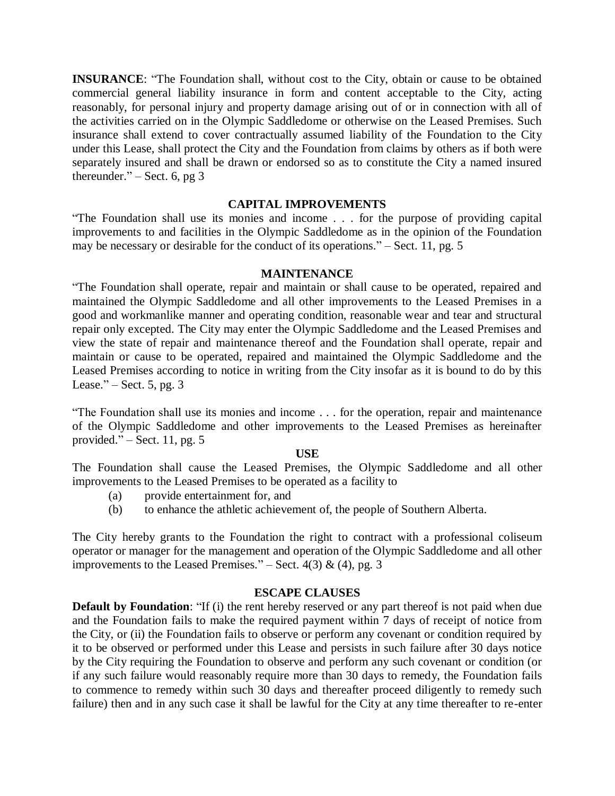**INSURANCE**: "The Foundation shall, without cost to the City, obtain or cause to be obtained commercial general liability insurance in form and content acceptable to the City, acting reasonably, for personal injury and property damage arising out of or in connection with all of the activities carried on in the Olympic Saddledome or otherwise on the Leased Premises. Such insurance shall extend to cover contractually assumed liability of the Foundation to the City under this Lease, shall protect the City and the Foundation from claims by others as if both were separately insured and shall be drawn or endorsed so as to constitute the City a named insured thereunder." – Sect. 6, pg  $3$ 

### **CAPITAL IMPROVEMENTS**

"The Foundation shall use its monies and income . . . for the purpose of providing capital improvements to and facilities in the Olympic Saddledome as in the opinion of the Foundation may be necessary or desirable for the conduct of its operations." – Sect. 11, pg. 5

#### **MAINTENANCE**

"The Foundation shall operate, repair and maintain or shall cause to be operated, repaired and maintained the Olympic Saddledome and all other improvements to the Leased Premises in a good and workmanlike manner and operating condition, reasonable wear and tear and structural repair only excepted. The City may enter the Olympic Saddledome and the Leased Premises and view the state of repair and maintenance thereof and the Foundation shall operate, repair and maintain or cause to be operated, repaired and maintained the Olympic Saddledome and the Leased Premises according to notice in writing from the City insofar as it is bound to do by this Lease." – Sect.  $5$ , pg.  $3$ 

"The Foundation shall use its monies and income . . . for the operation, repair and maintenance of the Olympic Saddledome and other improvements to the Leased Premises as hereinafter provided." – Sect. 11, pg.  $5$ 

#### **USE**

The Foundation shall cause the Leased Premises, the Olympic Saddledome and all other improvements to the Leased Premises to be operated as a facility to

- (a) provide entertainment for, and
- (b) to enhance the athletic achievement of, the people of Southern Alberta.

The City hereby grants to the Foundation the right to contract with a professional coliseum operator or manager for the management and operation of the Olympic Saddledome and all other improvements to the Leased Premises." – Sect.  $4(3)$  & (4), pg. 3

### **ESCAPE CLAUSES**

**Default by Foundation**: "If (i) the rent hereby reserved or any part thereof is not paid when due and the Foundation fails to make the required payment within 7 days of receipt of notice from the City, or (ii) the Foundation fails to observe or perform any covenant or condition required by it to be observed or performed under this Lease and persists in such failure after 30 days notice by the City requiring the Foundation to observe and perform any such covenant or condition (or if any such failure would reasonably require more than 30 days to remedy, the Foundation fails to commence to remedy within such 30 days and thereafter proceed diligently to remedy such failure) then and in any such case it shall be lawful for the City at any time thereafter to re-enter